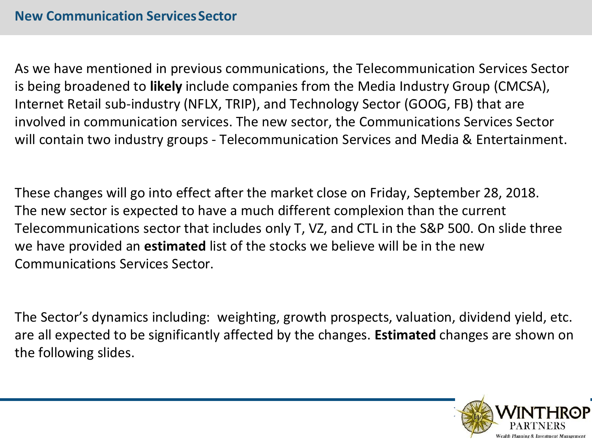As we have mentioned in previous communications, the Telecommunication Services Sector is being broadened to **likely** include companies from the Media Industry Group (CMCSA), Internet Retail sub-industry (NFLX, TRIP), and Technology Sector (GOOG, FB) that are involved in communication services. The new sector, the Communications Services Sector will contain two industry groups - Telecommunication Services and Media & Entertainment.

These changes will go into effect after the market close on Friday, September 28, 2018. The new sector is expected to have a much different complexion than the current Telecommunications sector that includes only T, VZ, and CTL in the S&P 500. On slide three we have provided an **estimated** list of the stocks we believe will be in the new Communications Services Sector.

The Sector's dynamics including: weighting, growth prospects, valuation, dividend yield, etc. are all expected to be significantly affected by the changes. **Estimated** changes are shown on the following slides.

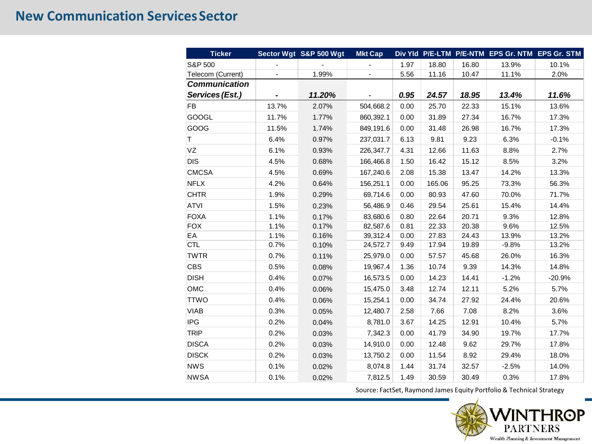# **New Communication Services Sector**

| <b>Ticker</b>        |                          | Sector Wgt S&P 500 Wgt | <b>Mkt Cap</b>           |      |        |       |         | Div Yld P/E-LTM P/E-NTM EPS Gr. NTM EPS Gr. STM |
|----------------------|--------------------------|------------------------|--------------------------|------|--------|-------|---------|-------------------------------------------------|
| S&P 500              |                          |                        |                          | 1.97 | 18.80  | 16.80 | 13.9%   | 10.1%                                           |
| Telecom (Current)    | $\overline{\phantom{0}}$ | 1.99%                  | $\overline{\phantom{0}}$ | 5.56 | 11.16  | 10.47 | 11.1%   | 2.0%                                            |
| <b>Communication</b> |                          |                        |                          |      |        |       |         |                                                 |
| Services (Est.)      |                          | 11.20%                 |                          | 0.95 | 24.57  | 18.95 | 13.4%   | 11.6%                                           |
| <b>FB</b>            | 13.7%                    | 2.07%                  | 504,668.2                | 0.00 | 25.70  | 22.33 | 15.1%   | 13.6%                                           |
| <b>GOOGL</b>         | 11.7%                    | 1.77%                  | 860,392.1                | 0.00 | 31.89  | 27.34 | 16.7%   | 17.3%                                           |
| GOOG                 | 11.5%                    | 1.74%                  | 849,191.6                | 0.00 | 31.48  | 26.98 | 16.7%   | 17.3%                                           |
| T.                   | 6.4%                     | 0.97%                  | 237,031.7                | 6.13 | 9.81   | 9.23  | 6.3%    | $-0.1%$                                         |
| VZ                   | 6.1%                     | 0.93%                  | 226,347.7                | 4.31 | 12.66  | 11.63 | 8.8%    | 2.7%                                            |
| <b>DIS</b>           | 4.5%                     | 0.68%                  | 166,466.8                | 1.50 | 16.42  | 15.12 | 8.5%    | 3.2%                                            |
| <b>CMCSA</b>         | 4.5%                     | 0.69%                  | 167,240.6                | 2.08 | 15.38  | 13.47 | 14.2%   | 13.3%                                           |
| <b>NFLX</b>          | 4.2%                     | 0.64%                  | 156,251.1                | 0.00 | 165.06 | 95.25 | 73.3%   | 56.3%                                           |
| <b>CHTR</b>          | 1.9%                     | 0.29%                  | 69,714.6                 | 0.00 | 80.93  | 47.60 | 70.0%   | 71.7%                                           |
| <b>ATVI</b>          | 1.5%                     | 0.23%                  | 56,486.9                 | 0.46 | 29.54  | 25.61 | 15.4%   | 14.4%                                           |
| <b>FOXA</b>          | 1.1%                     | 0.17%                  | 83,680.6                 | 0.80 | 22.64  | 20.71 | 9.3%    | 12.8%                                           |
| <b>FOX</b>           | 1.1%                     | 0.17%                  | 82,587.6                 | 0.81 | 22.33  | 20.38 | 9.6%    | 12.5%                                           |
| EA                   | 1.1%                     | 0.16%                  | 39,312.4                 | 0.00 | 27.83  | 24.43 | 13.9%   | 13.2%                                           |
| CTL                  | 0.7%                     | 0.10%                  | 24,572.7                 | 9.49 | 17.94  | 19.89 | $-9.8%$ | 13.2%                                           |
| <b>TWTR</b>          | 0.7%                     | 0.11%                  | 25,979.0                 | 0.00 | 57.57  | 45.68 | 26.0%   | 16.3%                                           |
| <b>CBS</b>           | 0.5%                     | 0.08%                  | 19,967.4                 | 1.36 | 10.74  | 9.39  | 14.3%   | 14.8%                                           |
| <b>DISH</b>          | 0.4%                     | 0.07%                  | 16,573.5                 | 0.00 | 14.23  | 14.41 | $-1.2%$ | $-20.9%$                                        |
| OMC                  | 0.4%                     | 0.06%                  | 15,475.0                 | 3.48 | 12.74  | 12.11 | 5.2%    | 5.7%                                            |
| <b>TTWO</b>          | 0.4%                     | 0.06%                  | 15,254.1                 | 0.00 | 34.74  | 27.92 | 24.4%   | 20.6%                                           |
| <b>VIAB</b>          | 0.3%                     | 0.05%                  | 12,480.7                 | 2.58 | 7.66   | 7.08  | 8.2%    | 3.6%                                            |
| <b>IPG</b>           | 0.2%                     | 0.04%                  | 8,781.0                  | 3.67 | 14.25  | 12.91 | 10.4%   | 5.7%                                            |
| <b>TRIP</b>          | 0.2%                     | 0.03%                  | 7,342.3                  | 0.00 | 41.79  | 34.90 | 19.7%   | 17.7%                                           |
| <b>DISCA</b>         | 0.2%                     | 0.03%                  | 14,910.0                 | 0.00 | 12.48  | 9.62  | 29.7%   | 17.8%                                           |
| <b>DISCK</b>         | 0.2%                     | 0.03%                  | 13,750.2                 | 0.00 | 11.54  | 8.92  | 29.4%   | 18.0%                                           |
| <b>NWS</b>           | 0.1%                     | 0.02%                  | 8,074.8                  | 1.44 | 31.74  | 32.57 | $-2.5%$ | 14.0%                                           |
| <b>NWSA</b>          | 0.1%                     | 0.02%                  | 7,812.5                  | 1.49 | 30.59  | 30.49 | 0.3%    | 17.8%                                           |

Source: FactSet, Raymond James Equity Portfolio & Technical Strategy

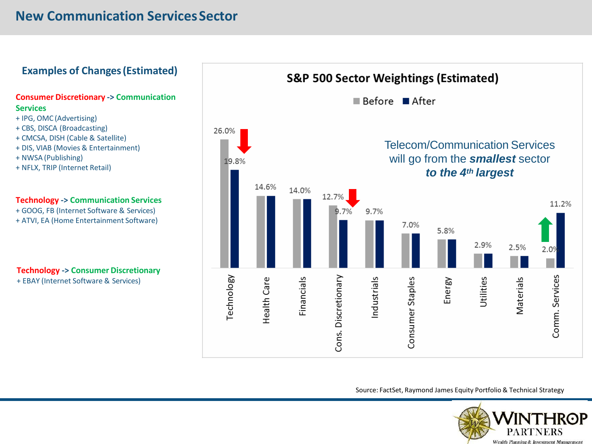# **New Communication ServicesSector**

### **Examples of Changes(Estimated)**

#### **Consumer Discretionary -> Communication Services**

- + IPG, OMC (Advertising)
- + CBS, DISCA (Broadcasting)
- + CMCSA, DISH (Cable & Satellite)
- + DIS, VIAB (Movies & Entertainment)
- + NWSA (Publishing)
- + NFLX, TRIP (Internet Retail)

### **Technology -> Communication Services**

- + GOOG, FB (Internet Software & Services)
- + ATVI, EA (Home Entertainment Software)

### **Technology -> Consumer Discretionary**

+ EBAY (Internet Software & Services)



Source: FactSet, Raymond James Equity Portfolio & Technical Strategy

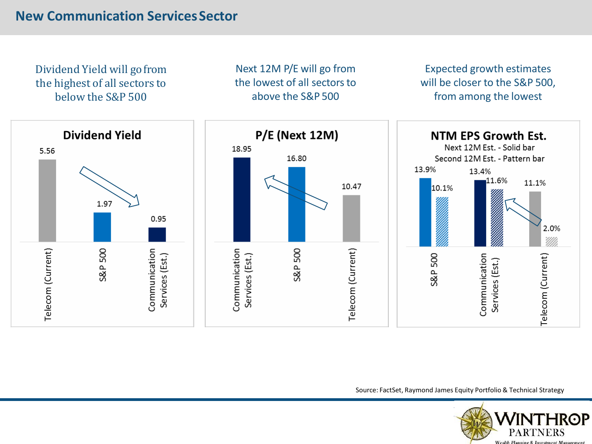Dividend Yield will gofrom the highest of all sectors to below the S&P 500

Next 12M P/E will go from the lowest of all sectors to above the S&P 500

Expected growth estimates will be closer to the S&P 500, from among the lowest



Source: FactSet, Raymond James Equity Portfolio & Technical Strategy